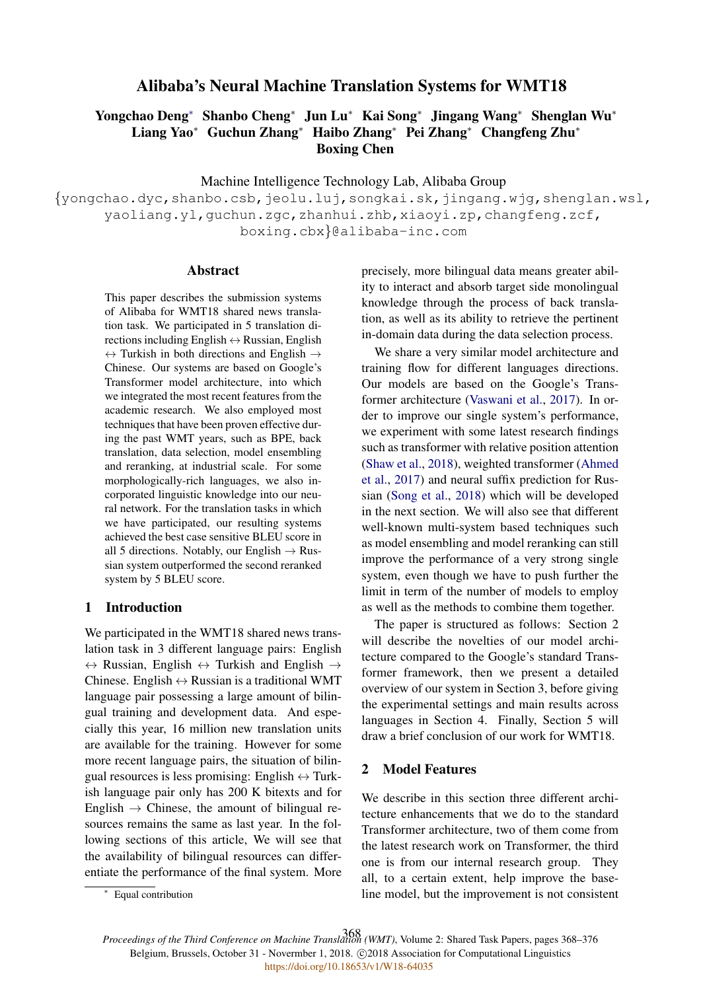# Alibaba's Neural Machine Translation Systems for WMT18

# Yongchao Deng<sup>∗</sup> Shanbo Cheng<sup>∗</sup> Jun Lu<sup>∗</sup> Kai Song<sup>∗</sup> Jingang Wang<sup>∗</sup> Shenglan Wu<sup>∗</sup> Liang Yao<sup>∗</sup> Guchun Zhang<sup>∗</sup> Haibo Zhang<sup>∗</sup> Pei Zhang<sup>∗</sup> Changfeng Zhu<sup>∗</sup> Boxing Chen

Machine Intelligence Technology Lab, Alibaba Group

{yongchao.dyc,shanbo.csb,jeolu.luj,songkai.sk,jingang.wjg,shenglan.wsl, yaoliang.yl,guchun.zgc,zhanhui.zhb,xiaoyi.zp,changfeng.zcf, boxing.cbx}@alibaba-inc.com

### Abstract

This paper describes the submission systems of Alibaba for WMT18 shared news translation task. We participated in 5 translation directions including English  $\leftrightarrow$  Russian, English  $\leftrightarrow$  Turkish in both directions and English  $\rightarrow$ Chinese. Our systems are based on Google's Transformer model architecture, into which we integrated the most recent features from the academic research. We also employed most techniques that have been proven effective during the past WMT years, such as BPE, back translation, data selection, model ensembling and reranking, at industrial scale. For some morphologically-rich languages, we also incorporated linguistic knowledge into our neural network. For the translation tasks in which we have participated, our resulting systems achieved the best case sensitive BLEU score in all 5 directions. Notably, our English  $\rightarrow$  Russian system outperformed the second reranked system by 5 BLEU score.

### 1 Introduction

We participated in the WMT18 shared news translation task in 3 different language pairs: English  $\leftrightarrow$  Russian, English  $\leftrightarrow$  Turkish and English  $\rightarrow$ Chinese. English  $\leftrightarrow$  Russian is a traditional WMT language pair possessing a large amount of bilingual training and development data. And especially this year, 16 million new translation units are available for the training. However for some more recent language pairs, the situation of bilingual resources is less promising: English  $\leftrightarrow$  Turkish language pair only has 200 K bitexts and for English  $\rightarrow$  Chinese, the amount of bilingual resources remains the same as last year. In the following sections of this article, We will see that the availability of bilingual resources can differentiate the performance of the final system. More precisely, more bilingual data means greater ability to interact and absorb target side monolingual knowledge through the process of back translation, as well as its ability to retrieve the pertinent in-domain data during the data selection process.

We share a very similar model architecture and training flow for different languages directions. Our models are based on the Google's Transformer architecture (Vaswani et al., 2017). In order to improve our single system's performance, we experiment with some latest research findings such as transformer with relative position attention (Shaw et al., 2018), weighted transformer (Ahmed et al., 2017) and neural suffix prediction for Russian (Song et al., 2018) which will be developed in the next section. We will also see that different well-known multi-system based techniques such as model ensembling and model reranking can still improve the performance of a very strong single system, even though we have to push further the limit in term of the number of models to employ as well as the methods to combine them together.

The paper is structured as follows: Section 2 will describe the novelties of our model architecture compared to the Google's standard Transformer framework, then we present a detailed overview of our system in Section 3, before giving the experimental settings and main results across languages in Section 4. Finally, Section 5 will draw a brief conclusion of our work for WMT18.

## 2 Model Features

We describe in this section three different architecture enhancements that we do to the standard Transformer architecture, two of them come from the latest research work on Transformer, the third one is from our internal research group. They all, to a certain extent, help improve the baseline model, but the improvement is not consistent

<sup>∗</sup> Equal contribution

*Proceedings of the Third Conference on Machine Translation (WMT)*, Volume 2: Shared Task Papers, pages 368–376 368Belgium, Brussels, October 31 - Novermber 1, 2018. @2018 Association for Computational Linguistics <https://doi.org/10.18653/v1/W18-64035>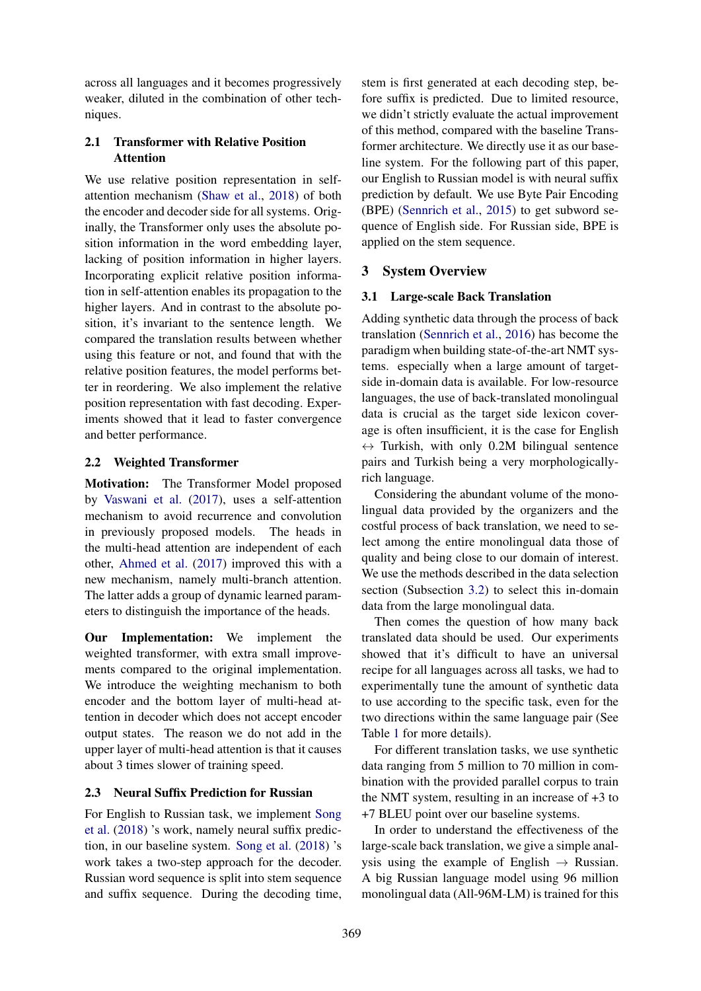across all languages and it becomes progressively weaker, diluted in the combination of other techniques.

# 2.1 Transformer with Relative Position Attention

We use relative position representation in selfattention mechanism (Shaw et al., 2018) of both the encoder and decoder side for all systems. Originally, the Transformer only uses the absolute position information in the word embedding layer, lacking of position information in higher layers. Incorporating explicit relative position information in self-attention enables its propagation to the higher layers. And in contrast to the absolute position, it's invariant to the sentence length. We compared the translation results between whether using this feature or not, and found that with the relative position features, the model performs better in reordering. We also implement the relative position representation with fast decoding. Experiments showed that it lead to faster convergence and better performance.

# 2.2 Weighted Transformer

Motivation: The Transformer Model proposed by Vaswani et al. (2017), uses a self-attention mechanism to avoid recurrence and convolution in previously proposed models. The heads in the multi-head attention are independent of each other, Ahmed et al. (2017) improved this with a new mechanism, namely multi-branch attention. The latter adds a group of dynamic learned parameters to distinguish the importance of the heads.

Our Implementation: We implement the weighted transformer, with extra small improvements compared to the original implementation. We introduce the weighting mechanism to both encoder and the bottom layer of multi-head attention in decoder which does not accept encoder output states. The reason we do not add in the upper layer of multi-head attention is that it causes about 3 times slower of training speed.

# 2.3 Neural Suffix Prediction for Russian

For English to Russian task, we implement Song et al. (2018) 's work, namely neural suffix prediction, in our baseline system. Song et al. (2018) 's work takes a two-step approach for the decoder. Russian word sequence is split into stem sequence and suffix sequence. During the decoding time,

stem is first generated at each decoding step, before suffix is predicted. Due to limited resource, we didn't strictly evaluate the actual improvement of this method, compared with the baseline Transformer architecture. We directly use it as our baseline system. For the following part of this paper, our English to Russian model is with neural suffix prediction by default. We use Byte Pair Encoding (BPE) (Sennrich et al., 2015) to get subword sequence of English side. For Russian side, BPE is applied on the stem sequence.

# 3 System Overview

## 3.1 Large-scale Back Translation

Adding synthetic data through the process of back translation (Sennrich et al., 2016) has become the paradigm when building state-of-the-art NMT systems. especially when a large amount of targetside in-domain data is available. For low-resource languages, the use of back-translated monolingual data is crucial as the target side lexicon coverage is often insufficient, it is the case for English  $\leftrightarrow$  Turkish, with only 0.2M bilingual sentence pairs and Turkish being a very morphologicallyrich language.

Considering the abundant volume of the monolingual data provided by the organizers and the costful process of back translation, we need to select among the entire monolingual data those of quality and being close to our domain of interest. We use the methods described in the data selection section (Subsection 3.2) to select this in-domain data from the large monolingual data.

Then comes the question of how many back translated data should be used. Our experiments showed that it's difficult to have an universal recipe for all languages across all tasks, we had to experimentally tune the amount of synthetic data to use according to the specific task, even for the two directions within the same language pair (See Table 1 for more details).

For different translation tasks, we use synthetic data ranging from 5 million to 70 million in combination with the provided parallel corpus to train the NMT system, resulting in an increase of +3 to +7 BLEU point over our baseline systems.

In order to understand the effectiveness of the large-scale back translation, we give a simple analysis using the example of English  $\rightarrow$  Russian. A big Russian language model using 96 million monolingual data (All-96M-LM) is trained for this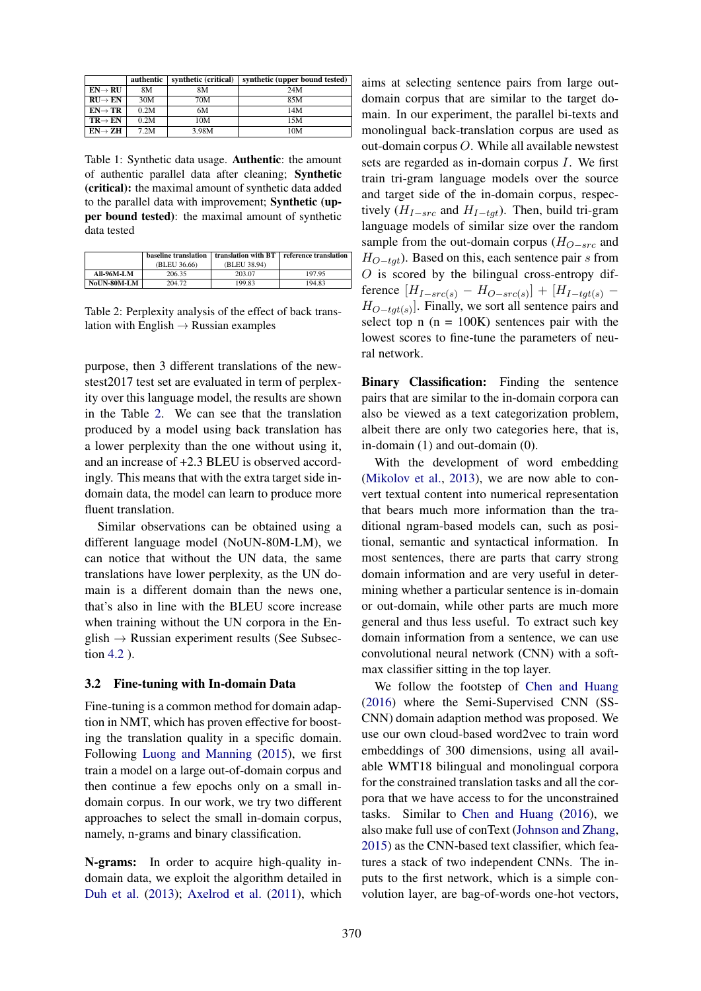|                     | authentic | synthetic (critical) | synthetic (upper bound tested) |
|---------------------|-----------|----------------------|--------------------------------|
| $EN \rightarrow RU$ | 8М        | 8M                   | 24M                            |
| $RU \rightarrow EN$ | 30M       | 70M                  | 85M                            |
| $EN \rightarrow TR$ | 0.2M      | 6M                   | 14M                            |
| $TR \rightarrow EN$ | 0.2M      | 10M                  | 15M                            |
| $EN \rightarrow ZH$ | 7.2M      | 3.98M                | 10M                            |

Table 1: Synthetic data usage. Authentic: the amount of authentic parallel data after cleaning; Synthetic (critical): the maximal amount of synthetic data added to the parallel data with improvement; Synthetic (upper bound tested): the maximal amount of synthetic data tested

|                    | baseline translation | translation with BT | reference translation |
|--------------------|----------------------|---------------------|-----------------------|
|                    | (BLEU 36.66)         | (BLEU 38.94)        |                       |
| <b>All-96M-LM</b>  | 206.35               | 203.07              | 197.95                |
| <b>NoUN-80M-LM</b> | 204.72               | 199.83              | 194.83                |

Table 2: Perplexity analysis of the effect of back translation with English  $\rightarrow$  Russian examples

purpose, then 3 different translations of the newstest2017 test set are evaluated in term of perplexity over this language model, the results are shown in the Table 2. We can see that the translation produced by a model using back translation has a lower perplexity than the one without using it, and an increase of +2.3 BLEU is observed accordingly. This means that with the extra target side indomain data, the model can learn to produce more fluent translation.

Similar observations can be obtained using a different language model (NoUN-80M-LM), we can notice that without the UN data, the same translations have lower perplexity, as the UN domain is a different domain than the news one, that's also in line with the BLEU score increase when training without the UN corpora in the En $glish \rightarrow Russian experiment$  results (See Subsection 4.2 ).

### 3.2 Fine-tuning with In-domain Data

Fine-tuning is a common method for domain adaption in NMT, which has proven effective for boosting the translation quality in a specific domain. Following Luong and Manning (2015), we first train a model on a large out-of-domain corpus and then continue a few epochs only on a small indomain corpus. In our work, we try two different approaches to select the small in-domain corpus, namely, n-grams and binary classification.

N-grams: In order to acquire high-quality indomain data, we exploit the algorithm detailed in Duh et al. (2013); Axelrod et al. (2011), which aims at selecting sentence pairs from large outdomain corpus that are similar to the target domain. In our experiment, the parallel bi-texts and monolingual back-translation corpus are used as out-domain corpus O. While all available newstest sets are regarded as in-domain corpus I. We first train tri-gram language models over the source and target side of the in-domain corpus, respectively ( $H_{I-src}$  and  $H_{I-tqt}$ ). Then, build tri-gram language models of similar size over the random sample from the out-domain corpus  $(H_{O-src}$  and  $H_{O-tat}$ ). Based on this, each sentence pair s from  $O$  is scored by the bilingual cross-entropy difference  $[H_{I-src(s)} - H_{O-src(s)}] + [H_{I-tgt(s)} H_{O-tgt(s)}$ . Finally, we sort all sentence pairs and select top  $n (n = 100K)$  sentences pair with the lowest scores to fine-tune the parameters of neural network.

Binary Classification: Finding the sentence pairs that are similar to the in-domain corpora can also be viewed as a text categorization problem, albeit there are only two categories here, that is, in-domain (1) and out-domain (0).

With the development of word embedding (Mikolov et al., 2013), we are now able to convert textual content into numerical representation that bears much more information than the traditional ngram-based models can, such as positional, semantic and syntactical information. In most sentences, there are parts that carry strong domain information and are very useful in determining whether a particular sentence is in-domain or out-domain, while other parts are much more general and thus less useful. To extract such key domain information from a sentence, we can use convolutional neural network (CNN) with a softmax classifier sitting in the top layer.

We follow the footstep of Chen and Huang (2016) where the Semi-Supervised CNN (SS-CNN) domain adaption method was proposed. We use our own cloud-based word2vec to train word embeddings of 300 dimensions, using all available WMT18 bilingual and monolingual corpora for the constrained translation tasks and all the corpora that we have access to for the unconstrained tasks. Similar to Chen and Huang (2016), we also make full use of conText (Johnson and Zhang, 2015) as the CNN-based text classifier, which features a stack of two independent CNNs. The inputs to the first network, which is a simple convolution layer, are bag-of-words one-hot vectors,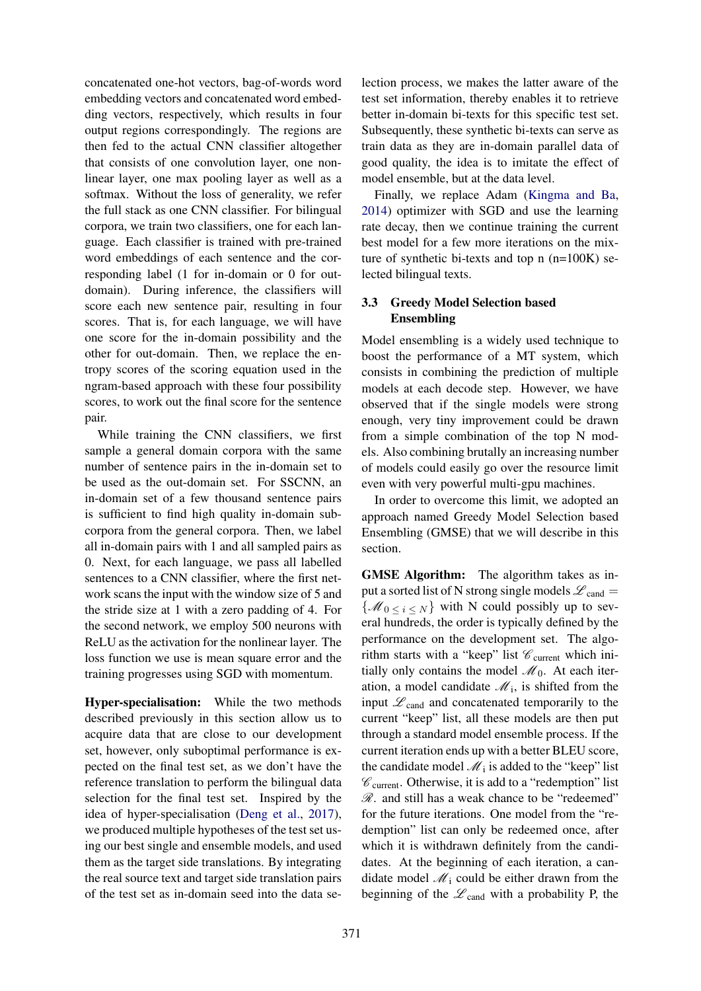concatenated one-hot vectors, bag-of-words word embedding vectors and concatenated word embedding vectors, respectively, which results in four output regions correspondingly. The regions are then fed to the actual CNN classifier altogether that consists of one convolution layer, one nonlinear layer, one max pooling layer as well as a softmax. Without the loss of generality, we refer the full stack as one CNN classifier. For bilingual corpora, we train two classifiers, one for each language. Each classifier is trained with pre-trained word embeddings of each sentence and the corresponding label (1 for in-domain or 0 for outdomain). During inference, the classifiers will score each new sentence pair, resulting in four scores. That is, for each language, we will have one score for the in-domain possibility and the other for out-domain. Then, we replace the entropy scores of the scoring equation used in the ngram-based approach with these four possibility scores, to work out the final score for the sentence pair.

While training the CNN classifiers, we first sample a general domain corpora with the same number of sentence pairs in the in-domain set to be used as the out-domain set. For SSCNN, an in-domain set of a few thousand sentence pairs is sufficient to find high quality in-domain subcorpora from the general corpora. Then, we label all in-domain pairs with 1 and all sampled pairs as 0. Next, for each language, we pass all labelled sentences to a CNN classifier, where the first network scans the input with the window size of 5 and the stride size at 1 with a zero padding of 4. For the second network, we employ 500 neurons with ReLU as the activation for the nonlinear layer. The loss function we use is mean square error and the training progresses using SGD with momentum.

Hyper-specialisation: While the two methods described previously in this section allow us to acquire data that are close to our development set, however, only suboptimal performance is expected on the final test set, as we don't have the reference translation to perform the bilingual data selection for the final test set. Inspired by the idea of hyper-specialisation (Deng et al., 2017), we produced multiple hypotheses of the test set using our best single and ensemble models, and used them as the target side translations. By integrating the real source text and target side translation pairs of the test set as in-domain seed into the data se-

lection process, we makes the latter aware of the test set information, thereby enables it to retrieve better in-domain bi-texts for this specific test set. Subsequently, these synthetic bi-texts can serve as train data as they are in-domain parallel data of good quality, the idea is to imitate the effect of model ensemble, but at the data level.

Finally, we replace Adam (Kingma and Ba, 2014) optimizer with SGD and use the learning rate decay, then we continue training the current best model for a few more iterations on the mixture of synthetic bi-texts and top n (n=100K) selected bilingual texts.

## 3.3 Greedy Model Selection based Ensembling

Model ensembling is a widely used technique to boost the performance of a MT system, which consists in combining the prediction of multiple models at each decode step. However, we have observed that if the single models were strong enough, very tiny improvement could be drawn from a simple combination of the top N models. Also combining brutally an increasing number of models could easily go over the resource limit even with very powerful multi-gpu machines.

In order to overcome this limit, we adopted an approach named Greedy Model Selection based Ensembling (GMSE) that we will describe in this section.

GMSE Algorithm: The algorithm takes as input a sorted list of N strong single models  $\mathcal{L}_{\text{cand}} =$  $\{\mathcal{M}_0 \leq i \leq N\}$  with N could possibly up to several hundreds, the order is typically defined by the performance on the development set. The algorithm starts with a "keep" list  $\mathscr{C}_{\text{current}}$  which initially only contains the model  $\mathcal{M}_0$ . At each iteration, a model candidate  $\mathcal{M}_i$ , is shifted from the input  $\mathscr{L}_{\text{cand}}$  and concatenated temporarily to the current "keep" list, all these models are then put through a standard model ensemble process. If the current iteration ends up with a better BLEU score, the candidate model  $\mathcal{M}_i$  is added to the "keep" list  $\mathscr{C}_{current}$ . Otherwise, it is add to a "redemption" list  $\mathscr R$ . and still has a weak chance to be "redeemed" for the future iterations. One model from the "redemption" list can only be redeemed once, after which it is withdrawn definitely from the candidates. At the beginning of each iteration, a candidate model  $\mathcal{M}_i$  could be either drawn from the beginning of the  $\mathscr{L}_{\text{cand}}$  with a probability P, the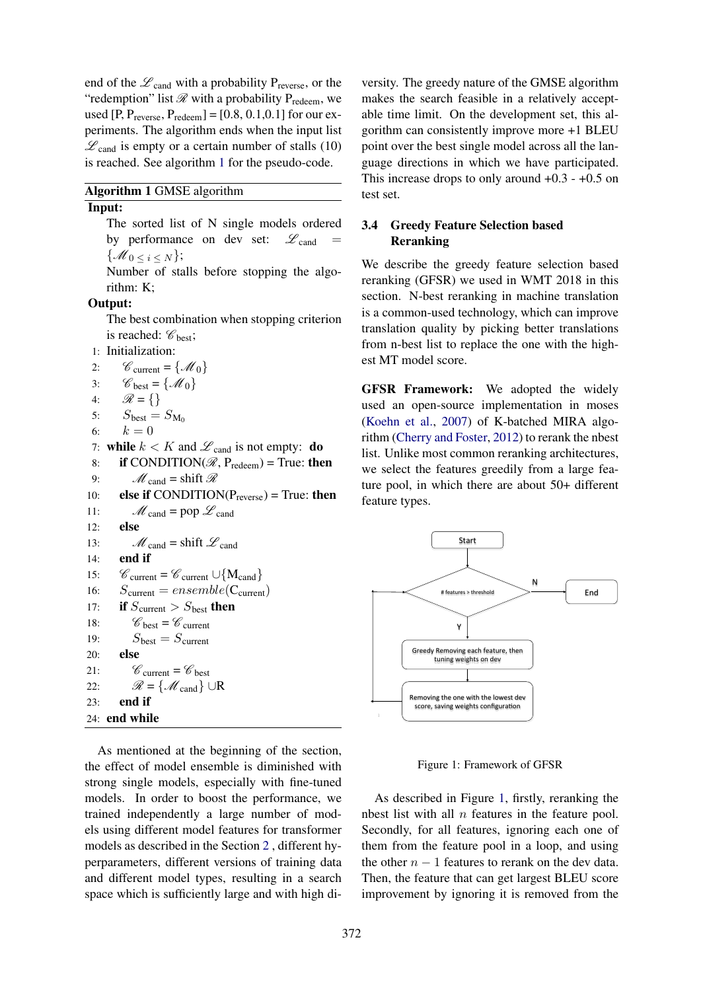end of the  $\mathscr{L}_{\text{cand}}$  with a probability P<sub>reverse</sub>, or the "redemption" list  $\mathscr R$  with a probability  $P_{redeen}$ , we used  $[P, P_{reverse}, P_{redeen}] = [0.8, 0.1, 0.1]$  for our experiments. The algorithm ends when the input list  $\mathscr{L}_{\text{cand}}$  is empty or a certain number of stalls (10) is reached. See algorithm 1 for the pseudo-code.

Algorithm 1 GMSE algorithm

#### Input:

The sorted list of N single models ordered by performance on dev set:  $\mathscr{L}_{\text{cand}}$  $\{\mathcal{M}_0 < i < N\};$ 

Number of stalls before stopping the algorithm: K;

#### Output:

The best combination when stopping criterion is reached:  $\mathscr{C}_{\text{best}}$ ;

1: Initialization:

2:  $\mathcal{C}_{\text{current}} = \{ \mathcal{M}_0 \}$ <br>3:  $\mathcal{C}_{\text{best}} = \{ \mathcal{M}_0 \}$ 3:  $\mathcal{C}_{\text{best}} = \{ \mathcal{M}_0 \}$ <br>4:  $\mathcal{R} = \{ \}$  $\mathcal{R} = \{\}$ 5:  $S_{\text{best}} = S_{\text{M}_0}$ 6:  $k = 0$ 7: while  $k < K$  and  $\mathscr{L}_{\text{cand}}$  is not empty: **do** 8: if CONDITION( $\mathcal{R}$ , P<sub>redeem</sub>) = True: then 9:  $M_{\text{cand}} = \text{shift } \mathcal{R}$ 10: **else if** CONDITION( $P_{reverse}$ ) = True: **then** 11:  $M_{\text{cand}} = \text{pop } \mathscr{L}_{\text{cand}}$ 12: else 13:  $M_{\text{cand}} = \text{shift } \mathcal{L}_{\text{cand}}$ 14: end if 15:  $C_{\text{current}} = C_{\text{current}} \cup \{M_{\text{cand}}\}$ <br>16:  $S_{\text{current}} = ensemble(C_{\text{current}})$  $S_{\text{current}} = ensemble(C_{\text{current}})$ 17: if  $S_{\text{current}} > S_{\text{best}}$  then 18:  $\mathscr{C}_{\text{best}} = \mathscr{C}_{\text{current}}$ 19:  $S_{\text{best}} = S_{\text{current}}$ 20: else 21:  $\mathscr{C}_{\text{current}} = \mathscr{C}_{\text{best}}$ 22:  $\mathcal{R} = \{ \mathcal{M}_{\text{cand}} \} \cup \mathbb{R}$ <br>23: end if end if 24: end while

As mentioned at the beginning of the section, the effect of model ensemble is diminished with strong single models, especially with fine-tuned models. In order to boost the performance, we trained independently a large number of models using different model features for transformer models as described in the Section 2 , different hyperparameters, different versions of training data and different model types, resulting in a search space which is sufficiently large and with high di-

versity. The greedy nature of the GMSE algorithm makes the search feasible in a relatively acceptable time limit. On the development set, this algorithm can consistently improve more +1 BLEU point over the best single model across all the language directions in which we have participated. This increase drops to only around  $+0.3 - +0.5$  on test set.

## 3.4 Greedy Feature Selection based Reranking

We describe the greedy feature selection based reranking (GFSR) we used in WMT 2018 in this section. N-best reranking in machine translation is a common-used technology, which can improve translation quality by picking better translations from n-best list to replace the one with the highest MT model score.

GFSR Framework: We adopted the widely used an open-source implementation in moses (Koehn et al., 2007) of K-batched MIRA algorithm (Cherry and Foster, 2012) to rerank the nbest list. Unlike most common reranking architectures, we select the features greedily from a large feature pool, in which there are about 50+ different feature types.



Figure 1: Framework of GFSR

As described in Figure 1, firstly, reranking the nbest list with all  $n$  features in the feature pool. Secondly, for all features, ignoring each one of them from the feature pool in a loop, and using the other  $n - 1$  features to rerank on the dev data. Then, the feature that can get largest BLEU score improvement by ignoring it is removed from the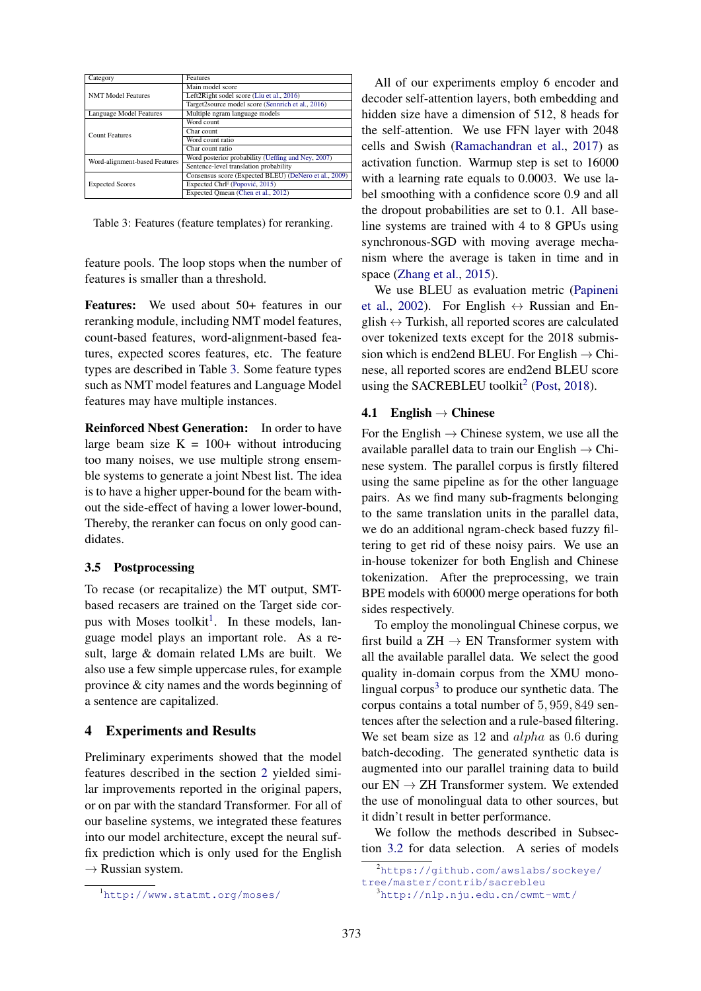| Category                      | Features                                              |  |
|-------------------------------|-------------------------------------------------------|--|
|                               | Main model score                                      |  |
| <b>NMT Model Features</b>     | Left2Right sodel score (Liu et al., 2016)             |  |
|                               | Target2source model score (Sennrich et al., 2016)     |  |
| Language Model Features       | Multiple ngram language models                        |  |
|                               | Word count                                            |  |
| <b>Count Features</b>         | Char count                                            |  |
|                               | Word count ratio                                      |  |
|                               | Char count ratio                                      |  |
| Word-alignment-based Features | Word posterior probability (Ueffing and Ney, 2007)    |  |
|                               | Sentence-level translation probability                |  |
|                               | Consensus score (Expected BLEU) (DeNero et al., 2009) |  |
| <b>Expected Scores</b>        | Expected ChrF (Popović, 2015)                         |  |
|                               | Expected Omean (Chen et al., 2012)                    |  |

Table 3: Features (feature templates) for reranking.

feature pools. The loop stops when the number of features is smaller than a threshold.

Features: We used about 50+ features in our reranking module, including NMT model features, count-based features, word-alignment-based features, expected scores features, etc. The feature types are described in Table 3. Some feature types such as NMT model features and Language Model features may have multiple instances.

Reinforced Nbest Generation: In order to have large beam size  $K = 100+$  without introducing too many noises, we use multiple strong ensemble systems to generate a joint Nbest list. The idea is to have a higher upper-bound for the beam without the side-effect of having a lower lower-bound, Thereby, the reranker can focus on only good candidates.

## 3.5 Postprocessing

To recase (or recapitalize) the MT output, SMTbased recasers are trained on the Target side corpus with Moses toolkit<sup>1</sup>. In these models, language model plays an important role. As a result, large & domain related LMs are built. We also use a few simple uppercase rules, for example province & city names and the words beginning of a sentence are capitalized.

# 4 Experiments and Results

Preliminary experiments showed that the model features described in the section 2 yielded similar improvements reported in the original papers, or on par with the standard Transformer. For all of our baseline systems, we integrated these features into our model architecture, except the neural suffix prediction which is only used for the English  $\rightarrow$  Russian system.

All of our experiments employ 6 encoder and decoder self-attention layers, both embedding and hidden size have a dimension of 512, 8 heads for the self-attention. We use FFN layer with 2048 cells and Swish (Ramachandran et al., 2017) as activation function. Warmup step is set to 16000 with a learning rate equals to 0.0003. We use label smoothing with a confidence score 0.9 and all the dropout probabilities are set to 0.1. All baseline systems are trained with 4 to 8 GPUs using synchronous-SGD with moving average mechanism where the average is taken in time and in space (Zhang et al., 2015).

We use BLEU as evaluation metric (Papineni et al., 2002). For English  $\leftrightarrow$  Russian and English  $\leftrightarrow$  Turkish, all reported scores are calculated over tokenized texts except for the 2018 submission which is end2end BLEU. For English  $\rightarrow$  Chinese, all reported scores are end2end BLEU score using the SACREBLEU toolkit<sup>2</sup> (Post, 2018).

## 4.1 English  $\rightarrow$  Chinese

For the English  $\rightarrow$  Chinese system, we use all the available parallel data to train our English  $\rightarrow$  Chinese system. The parallel corpus is firstly filtered using the same pipeline as for the other language pairs. As we find many sub-fragments belonging to the same translation units in the parallel data, we do an additional ngram-check based fuzzy filtering to get rid of these noisy pairs. We use an in-house tokenizer for both English and Chinese tokenization. After the preprocessing, we train BPE models with 60000 merge operations for both sides respectively.

To employ the monolingual Chinese corpus, we first build a  $ZH \rightarrow EN$  Transformer system with all the available parallel data. We select the good quality in-domain corpus from the XMU monolingual corpus $3$  to produce our synthetic data. The corpus contains a total number of 5, 959, 849 sentences after the selection and a rule-based filtering. We set beam size as 12 and *alpha* as 0.6 during batch-decoding. The generated synthetic data is augmented into our parallel training data to build our  $EN \rightarrow ZH$  Transformer system. We extended the use of monolingual data to other sources, but it didn't result in better performance.

We follow the methods described in Subsection 3.2 for data selection. A series of models

<sup>1</sup>http://www.statmt.org/moses/

<sup>2</sup>https://github.com/awslabs/sockeye/

tree/master/contrib/sacrebleu

<sup>3</sup>http://nlp.nju.edu.cn/cwmt-wmt/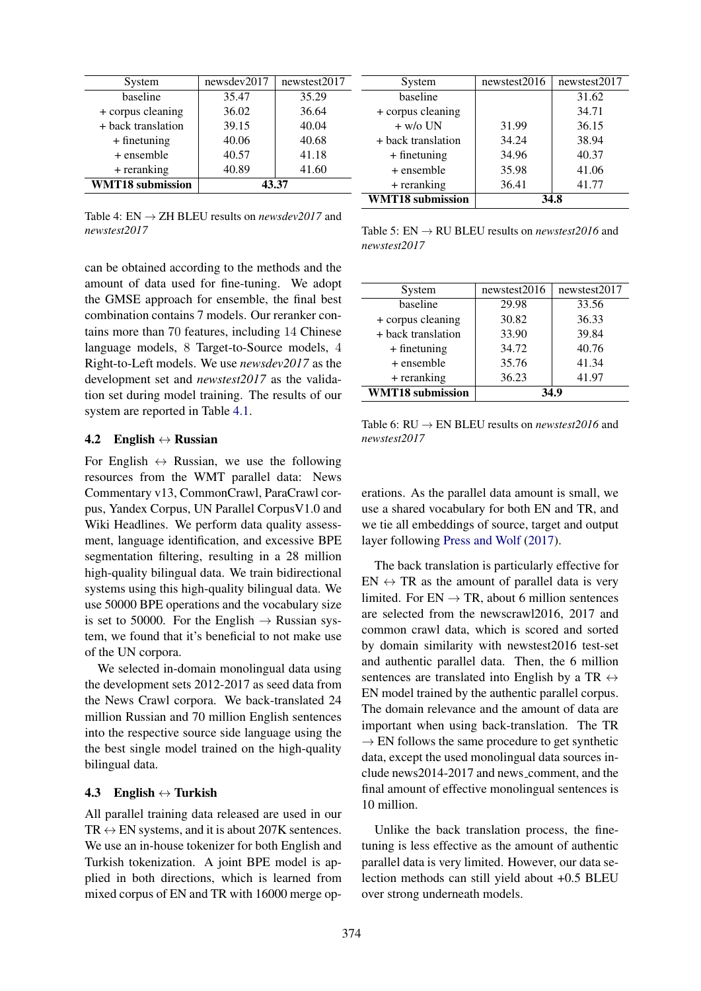| System                  | newsdev2017 | newstest2017 |
|-------------------------|-------------|--------------|
| baseline                | 35.47       | 35.29        |
| + corpus cleaning       | 36.02       | 36.64        |
| + back translation      | 39.15       | 40.04        |
| $+$ finetuning          | 40.06       | 40.68        |
| $+$ ensemble            | 40.57       | 41.18        |
| + reranking             | 40.89       | 41.60        |
| <b>WMT18</b> submission | 43.37       |              |

Table 4:  $EN \rightarrow ZH$  BLEU results on *newsdev2017* and *newstest2017*

can be obtained according to the methods and the amount of data used for fine-tuning. We adopt the GMSE approach for ensemble, the final best combination contains 7 models. Our reranker contains more than 70 features, including 14 Chinese language models, 8 Target-to-Source models, 4 Right-to-Left models. We use *newsdev2017* as the development set and *newstest2017* as the validation set during model training. The results of our system are reported in Table 4.1.

### 4.2 English  $\leftrightarrow$  Russian

For English  $\leftrightarrow$  Russian, we use the following resources from the WMT parallel data: News Commentary v13, CommonCrawl, ParaCrawl corpus, Yandex Corpus, UN Parallel CorpusV1.0 and Wiki Headlines. We perform data quality assessment, language identification, and excessive BPE segmentation filtering, resulting in a 28 million high-quality bilingual data. We train bidirectional systems using this high-quality bilingual data. We use 50000 BPE operations and the vocabulary size is set to 50000. For the English  $\rightarrow$  Russian system, we found that it's beneficial to not make use of the UN corpora.

We selected in-domain monolingual data using the development sets 2012-2017 as seed data from the News Crawl corpora. We back-translated 24 million Russian and 70 million English sentences into the respective source side language using the the best single model trained on the high-quality bilingual data.

### 4.3 English  $\leftrightarrow$  Turkish

All parallel training data released are used in our  $TR \leftrightarrow EN$  systems, and it is about 207K sentences. We use an in-house tokenizer for both English and Turkish tokenization. A joint BPE model is applied in both directions, which is learned from mixed corpus of EN and TR with 16000 merge op-

| System                  | newstest2016 | newstest2017 |
|-------------------------|--------------|--------------|
| baseline                |              | 31.62        |
| + corpus cleaning       |              | 34.71        |
| $+ w/\sigma$ UN         | 31.99        | 36.15        |
| + back translation      | 34.24        | 38.94        |
| $+$ finetuning          | 34.96        | 40.37        |
| + ensemble              | 35.98        | 41.06        |
| + reranking             | 36.41        | 41.77        |
| <b>WMT18</b> submission | 34 R         |              |

Table 5: EN → RU BLEU results on *newstest2016* and *newstest2017*

| System                  | newstest2016 | newstest2017 |
|-------------------------|--------------|--------------|
| baseline                | 29.98        | 33.56        |
| + corpus cleaning       | 30.82        | 36.33        |
| + back translation      | 33.90        | 39.84        |
| $+$ finetuning          | 34.72        | 40.76        |
| + ensemble              | 35.76        | 41.34        |
| + reranking             | 36.23        | 41.97        |
| <b>WMT18</b> submission | 34.9         |              |

Table 6:  $RU \rightarrow EN$  BLEU results on *newstest2016* and *newstest2017*

erations. As the parallel data amount is small, we use a shared vocabulary for both EN and TR, and we tie all embeddings of source, target and output layer following Press and Wolf (2017).

The back translation is particularly effective for  $EN \leftrightarrow TR$  as the amount of parallel data is very limited. For  $EN \rightarrow TR$ , about 6 million sentences are selected from the newscrawl2016, 2017 and common crawl data, which is scored and sorted by domain similarity with newstest2016 test-set and authentic parallel data. Then, the 6 million sentences are translated into English by a TR  $\leftrightarrow$ EN model trained by the authentic parallel corpus. The domain relevance and the amount of data are important when using back-translation. The TR  $\rightarrow$  EN follows the same procedure to get synthetic data, except the used monolingual data sources include news2014-2017 and news comment, and the final amount of effective monolingual sentences is 10 million.

Unlike the back translation process, the finetuning is less effective as the amount of authentic parallel data is very limited. However, our data selection methods can still yield about +0.5 BLEU over strong underneath models.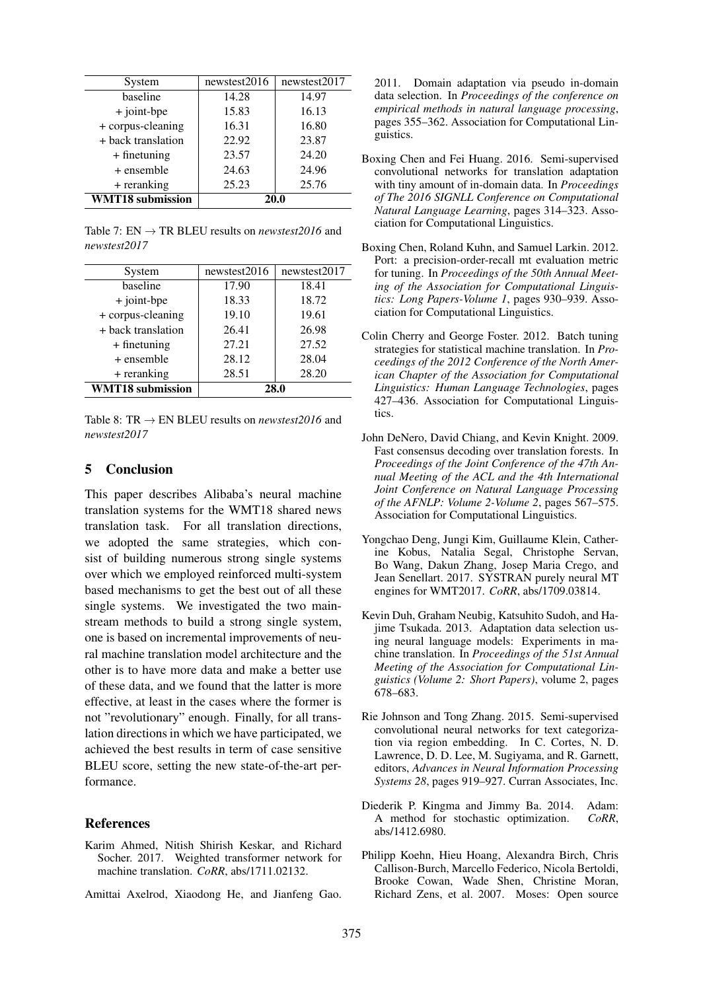| System                  | newstest2016 | newstest2017 |
|-------------------------|--------------|--------------|
| baseline                | 14.28        | 14.97        |
| + joint-bpe             | 15.83        | 16.13        |
| + corpus-cleaning       | 16.31        | 16.80        |
| + back translation      | 22.92        | 23.87        |
| $+$ finetuning          | 23.57        | 24.20        |
| + ensemble              | 24.63        | 24.96        |
| + reranking             | 25.23        | 25.76        |
| <b>WMT18</b> submission | 20.0         |              |

Table 7:  $EN \rightarrow TR$  BLEU results on *newstest2016* and *newstest2017*

| System                  | newstest2016 | newstest2017 |
|-------------------------|--------------|--------------|
| baseline                | 17.90        | 18.41        |
| $+$ joint-bpe           | 18.33        | 18.72        |
| + corpus-cleaning       | 19.10        | 19.61        |
| + back translation      | 26.41        | 26.98        |
| $+$ finetuning          | 27.21        | 27.52        |
| + ensemble              | 28.12        | 28.04        |
| + reranking             | 28.51        | 28.20        |
| <b>WMT18</b> submission | 28.0         |              |

Table 8: TR  $\rightarrow$  EN BLEU results on *newstest2016* and *newstest2017*

### 5 Conclusion

This paper describes Alibaba's neural machine translation systems for the WMT18 shared news translation task. For all translation directions, we adopted the same strategies, which consist of building numerous strong single systems over which we employed reinforced multi-system based mechanisms to get the best out of all these single systems. We investigated the two mainstream methods to build a strong single system, one is based on incremental improvements of neural machine translation model architecture and the other is to have more data and make a better use of these data, and we found that the latter is more effective, at least in the cases where the former is not "revolutionary" enough. Finally, for all translation directions in which we have participated, we achieved the best results in term of case sensitive BLEU score, setting the new state-of-the-art performance.

### References

- Karim Ahmed, Nitish Shirish Keskar, and Richard Socher. 2017. Weighted transformer network for machine translation. *CoRR*, abs/1711.02132.
- Amittai Axelrod, Xiaodong He, and Jianfeng Gao.

2011. Domain adaptation via pseudo in-domain data selection. In *Proceedings of the conference on empirical methods in natural language processing*, pages 355–362. Association for Computational Linguistics.

- Boxing Chen and Fei Huang. 2016. Semi-supervised convolutional networks for translation adaptation with tiny amount of in-domain data. In *Proceedings of The 2016 SIGNLL Conference on Computational Natural Language Learning*, pages 314–323. Association for Computational Linguistics.
- Boxing Chen, Roland Kuhn, and Samuel Larkin. 2012. Port: a precision-order-recall mt evaluation metric for tuning. In *Proceedings of the 50th Annual Meeting of the Association for Computational Linguistics: Long Papers-Volume 1*, pages 930–939. Association for Computational Linguistics.
- Colin Cherry and George Foster. 2012. Batch tuning strategies for statistical machine translation. In *Proceedings of the 2012 Conference of the North American Chapter of the Association for Computational Linguistics: Human Language Technologies*, pages 427–436. Association for Computational Linguistics.
- John DeNero, David Chiang, and Kevin Knight. 2009. Fast consensus decoding over translation forests. In *Proceedings of the Joint Conference of the 47th Annual Meeting of the ACL and the 4th International Joint Conference on Natural Language Processing of the AFNLP: Volume 2-Volume 2*, pages 567–575. Association for Computational Linguistics.
- Yongchao Deng, Jungi Kim, Guillaume Klein, Catherine Kobus, Natalia Segal, Christophe Servan, Bo Wang, Dakun Zhang, Josep Maria Crego, and Jean Senellart. 2017. SYSTRAN purely neural MT engines for WMT2017. *CoRR*, abs/1709.03814.
- Kevin Duh, Graham Neubig, Katsuhito Sudoh, and Hajime Tsukada. 2013. Adaptation data selection using neural language models: Experiments in machine translation. In *Proceedings of the 51st Annual Meeting of the Association for Computational Linguistics (Volume 2: Short Papers)*, volume 2, pages 678–683.
- Rie Johnson and Tong Zhang. 2015. Semi-supervised convolutional neural networks for text categorization via region embedding. In C. Cortes, N. D. Lawrence, D. D. Lee, M. Sugiyama, and R. Garnett, editors, *Advances in Neural Information Processing Systems 28*, pages 919–927. Curran Associates, Inc.
- Diederik P. Kingma and Jimmy Ba. 2014. Adam: A method for stochastic optimization. *CoRR*, abs/1412.6980.
- Philipp Koehn, Hieu Hoang, Alexandra Birch, Chris Callison-Burch, Marcello Federico, Nicola Bertoldi, Brooke Cowan, Wade Shen, Christine Moran, Richard Zens, et al. 2007. Moses: Open source